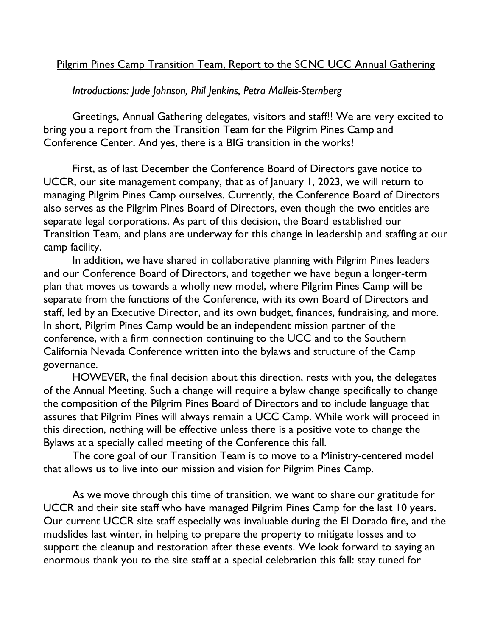## Pilgrim Pines Camp Transition Team, Report to the SCNC UCC Annual Gathering

*Introductions: Jude Johnson, Phil Jenkins, Petra Malleis-Sternberg*

Greetings, Annual Gathering delegates, visitors and staff!! We are very excited to bring you a report from the Transition Team for the Pilgrim Pines Camp and Conference Center. And yes, there is a BIG transition in the works!

First, as of last December the Conference Board of Directors gave notice to UCCR, our site management company, that as of January 1, 2023, we will return to managing Pilgrim Pines Camp ourselves. Currently, the Conference Board of Directors also serves as the Pilgrim Pines Board of Directors, even though the two entities are separate legal corporations. As part of this decision, the Board established our Transition Team, and plans are underway for this change in leadership and staffing at our camp facility.

In addition, we have shared in collaborative planning with Pilgrim Pines leaders and our Conference Board of Directors, and together we have begun a longer-term plan that moves us towards a wholly new model, where Pilgrim Pines Camp will be separate from the functions of the Conference, with its own Board of Directors and staff, led by an Executive Director, and its own budget, finances, fundraising, and more. In short, Pilgrim Pines Camp would be an independent mission partner of the conference, with a firm connection continuing to the UCC and to the Southern California Nevada Conference written into the bylaws and structure of the Camp governance.

HOWEVER, the final decision about this direction, rests with you, the delegates of the Annual Meeting. Such a change will require a bylaw change specifically to change the composition of the Pilgrim Pines Board of Directors and to include language that assures that Pilgrim Pines will always remain a UCC Camp. While work will proceed in this direction, nothing will be effective unless there is a positive vote to change the Bylaws at a specially called meeting of the Conference this fall.

The core goal of our Transition Team is to move to a Ministry-centered model that allows us to live into our mission and vision for Pilgrim Pines Camp.

As we move through this time of transition, we want to share our gratitude for UCCR and their site staff who have managed Pilgrim Pines Camp for the last 10 years. Our current UCCR site staff especially was invaluable during the El Dorado fire, and the mudslides last winter, in helping to prepare the property to mitigate losses and to support the cleanup and restoration after these events. We look forward to saying an enormous thank you to the site staff at a special celebration this fall: stay tuned for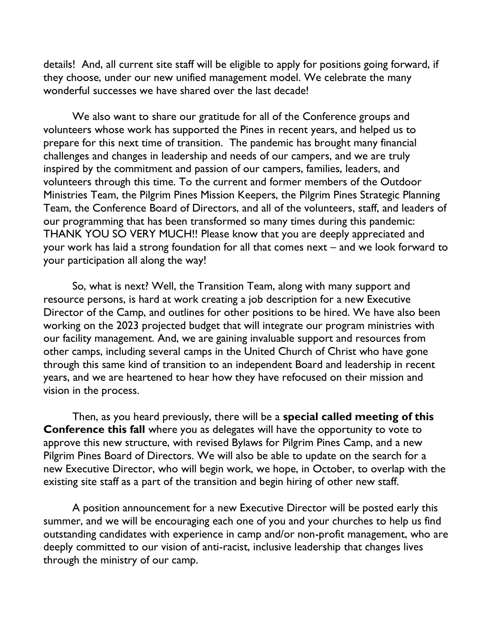details! And, all current site staff will be eligible to apply for positions going forward, if they choose, under our new unified management model. We celebrate the many wonderful successes we have shared over the last decade!

We also want to share our gratitude for all of the Conference groups and volunteers whose work has supported the Pines in recent years, and helped us to prepare for this next time of transition. The pandemic has brought many financial challenges and changes in leadership and needs of our campers, and we are truly inspired by the commitment and passion of our campers, families, leaders, and volunteers through this time. To the current and former members of the Outdoor Ministries Team, the Pilgrim Pines Mission Keepers, the Pilgrim Pines Strategic Planning Team, the Conference Board of Directors, and all of the volunteers, staff, and leaders of our programming that has been transformed so many times during this pandemic: THANK YOU SO VERY MUCH!! Please know that you are deeply appreciated and your work has laid a strong foundation for all that comes next – and we look forward to your participation all along the way!

So, what is next? Well, the Transition Team, along with many support and resource persons, is hard at work creating a job description for a new Executive Director of the Camp, and outlines for other positions to be hired. We have also been working on the 2023 projected budget that will integrate our program ministries with our facility management. And, we are gaining invaluable support and resources from other camps, including several camps in the United Church of Christ who have gone through this same kind of transition to an independent Board and leadership in recent years, and we are heartened to hear how they have refocused on their mission and vision in the process.

Then, as you heard previously, there will be a **special called meeting of this Conference this fall** where you as delegates will have the opportunity to vote to approve this new structure, with revised Bylaws for Pilgrim Pines Camp, and a new Pilgrim Pines Board of Directors. We will also be able to update on the search for a new Executive Director, who will begin work, we hope, in October, to overlap with the existing site staff as a part of the transition and begin hiring of other new staff.

A position announcement for a new Executive Director will be posted early this summer, and we will be encouraging each one of you and your churches to help us find outstanding candidates with experience in camp and/or non-profit management, who are deeply committed to our vision of anti-racist, inclusive leadership that changes lives through the ministry of our camp.